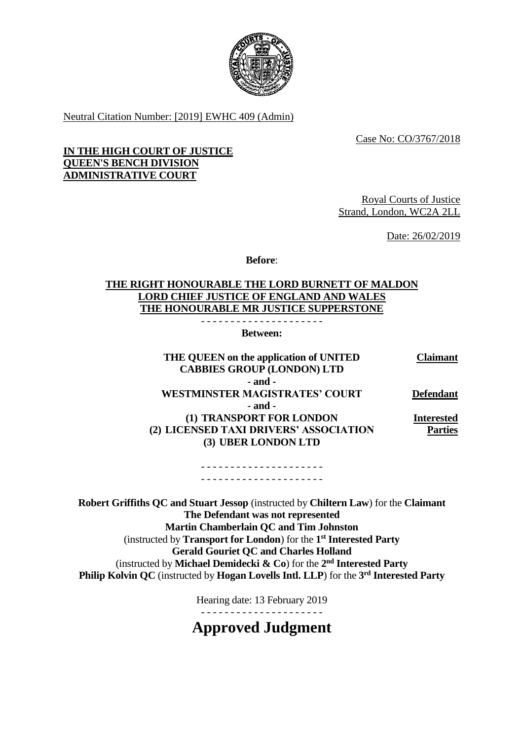

Neutral Citation Number: [2019] EWHC 409 (Admin)

Case No: CO/3767/2018

## **IN THE HIGH COURT OF JUSTICE QUEEN'S BENCH DIVISION ADMINISTRATIVE COURT**

Royal Courts of Justice Strand, London, WC2A 2LL

Date: 26/02/2019

**Before**:

# **THE RIGHT HONOURABLE THE LORD BURNETT OF MALDON LORD CHIEF JUSTICE OF ENGLAND AND WALES THE HONOURABLE MR JUSTICE SUPPERSTONE**

- - - - - - - - - - - - - - - - - - - - - **Between:**

**THE QUEEN on the application of UNITED CABBIES GROUP (LONDON) LTD Claimant - and - WESTMINSTER MAGISTRATES' COURT Defendant - and - (1) TRANSPORT FOR LONDON (2) LICENSED TAXI DRIVERS' ASSOCIATION (3) UBER LONDON LTD Interested Parties**

> - - - - - - - - - - - - - - - - - - - - - - - - - - - - - - - - - - - - - - - - - -

**Robert Griffiths QC and Stuart Jessop** (instructed by **Chiltern Law**) for the **Claimant The Defendant was not represented Martin Chamberlain QC and Tim Johnston** (instructed by **Transport for London**) for the **1 st Interested Party Gerald Gouriet QC and Charles Holland** (instructed by **Michael Demidecki & Co**) for the **2 nd Interested Party Philip Kolvin QC** (instructed by **Hogan Lovells Intl. LLP**) for the **3 rd Interested Party** 

Hearing date: 13 February 2019

- - - - - - - - - - - - - - - - - - - - -

**Approved Judgment**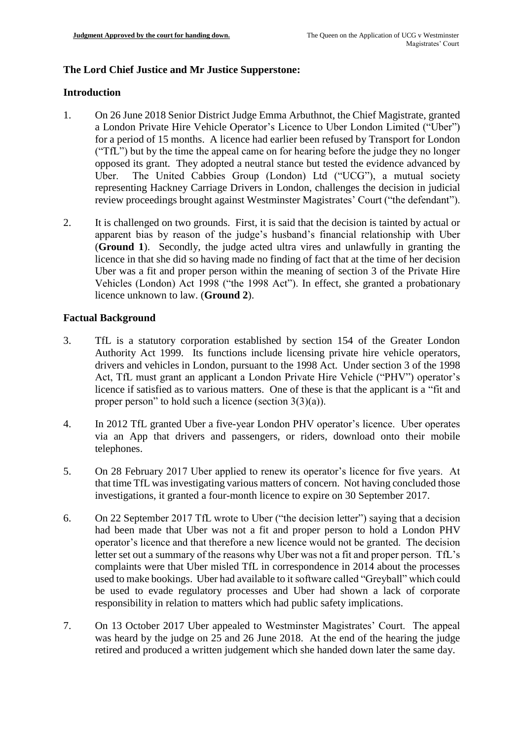# **The Lord Chief Justice and Mr Justice Supperstone:**

### **Introduction**

- 1. On 26 June 2018 Senior District Judge Emma Arbuthnot, the Chief Magistrate, granted a London Private Hire Vehicle Operator's Licence to Uber London Limited ("Uber") for a period of 15 months. A licence had earlier been refused by Transport for London ("TfL") but by the time the appeal came on for hearing before the judge they no longer opposed its grant. They adopted a neutral stance but tested the evidence advanced by Uber. The United Cabbies Group (London) Ltd ("UCG"), a mutual society representing Hackney Carriage Drivers in London, challenges the decision in judicial review proceedings brought against Westminster Magistrates' Court ("the defendant").
- 2. It is challenged on two grounds. First, it is said that the decision is tainted by actual or apparent bias by reason of the judge's husband's financial relationship with Uber (**Ground 1**). Secondly, the judge acted ultra vires and unlawfully in granting the licence in that she did so having made no finding of fact that at the time of her decision Uber was a fit and proper person within the meaning of section 3 of the Private Hire Vehicles (London) Act 1998 ("the 1998 Act"). In effect, she granted a probationary licence unknown to law. (**Ground 2**).

## **Factual Background**

- 3. TfL is a statutory corporation established by section 154 of the Greater London Authority Act 1999. Its functions include licensing private hire vehicle operators, drivers and vehicles in London, pursuant to the 1998 Act. Under section 3 of the 1998 Act, TfL must grant an applicant a London Private Hire Vehicle ("PHV") operator's licence if satisfied as to various matters. One of these is that the applicant is a "fit and proper person" to hold such a licence (section  $3(3)(a)$ ).
- 4. In 2012 TfL granted Uber a five-year London PHV operator's licence. Uber operates via an App that drivers and passengers, or riders, download onto their mobile telephones.
- 5. On 28 February 2017 Uber applied to renew its operator's licence for five years. At that time TfL was investigating various matters of concern. Not having concluded those investigations, it granted a four-month licence to expire on 30 September 2017.
- 6. On 22 September 2017 TfL wrote to Uber ("the decision letter") saying that a decision had been made that Uber was not a fit and proper person to hold a London PHV operator's licence and that therefore a new licence would not be granted. The decision letter set out a summary of the reasons why Uber was not a fit and proper person. TfL's complaints were that Uber misled TfL in correspondence in 2014 about the processes used to make bookings. Uber had available to it software called "Greyball" which could be used to evade regulatory processes and Uber had shown a lack of corporate responsibility in relation to matters which had public safety implications.
- 7. On 13 October 2017 Uber appealed to Westminster Magistrates' Court. The appeal was heard by the judge on 25 and 26 June 2018. At the end of the hearing the judge retired and produced a written judgement which she handed down later the same day.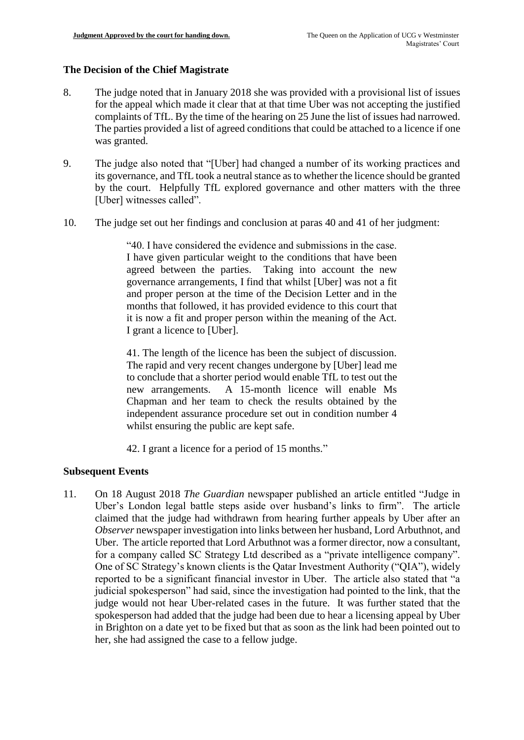## **The Decision of the Chief Magistrate**

- 8. The judge noted that in January 2018 she was provided with a provisional list of issues for the appeal which made it clear that at that time Uber was not accepting the justified complaints of TfL. By the time of the hearing on 25 June the list of issues had narrowed. The parties provided a list of agreed conditions that could be attached to a licence if one was granted.
- 9. The judge also noted that "[Uber] had changed a number of its working practices and its governance, and TfL took a neutral stance as to whether the licence should be granted by the court. Helpfully TfL explored governance and other matters with the three [Uber] witnesses called".
- 10. The judge set out her findings and conclusion at paras 40 and 41 of her judgment:

"40. I have considered the evidence and submissions in the case. I have given particular weight to the conditions that have been agreed between the parties. Taking into account the new governance arrangements, I find that whilst [Uber] was not a fit and proper person at the time of the Decision Letter and in the months that followed, it has provided evidence to this court that it is now a fit and proper person within the meaning of the Act. I grant a licence to [Uber].

41. The length of the licence has been the subject of discussion. The rapid and very recent changes undergone by [Uber] lead me to conclude that a shorter period would enable TfL to test out the new arrangements. A 15-month licence will enable Ms Chapman and her team to check the results obtained by the independent assurance procedure set out in condition number 4 whilst ensuring the public are kept safe.

42. I grant a licence for a period of 15 months."

## **Subsequent Events**

11. On 18 August 2018 *The Guardian* newspaper published an article entitled "Judge in Uber's London legal battle steps aside over husband's links to firm". The article claimed that the judge had withdrawn from hearing further appeals by Uber after an *Observer* newspaper investigation into links between her husband, Lord Arbuthnot, and Uber. The article reported that Lord Arbuthnot was a former director, now a consultant, for a company called SC Strategy Ltd described as a "private intelligence company". One of SC Strategy's known clients is the Qatar Investment Authority ("QIA"), widely reported to be a significant financial investor in Uber. The article also stated that "a judicial spokesperson" had said, since the investigation had pointed to the link, that the judge would not hear Uber-related cases in the future. It was further stated that the spokesperson had added that the judge had been due to hear a licensing appeal by Uber in Brighton on a date yet to be fixed but that as soon as the link had been pointed out to her, she had assigned the case to a fellow judge.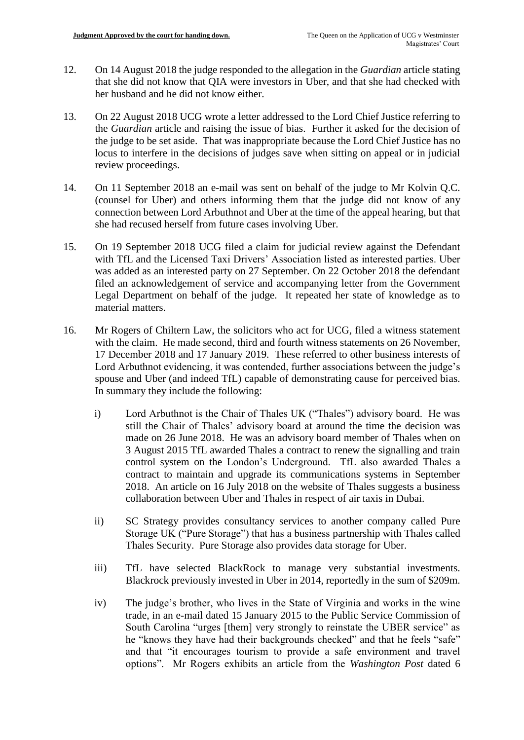- 12. On 14 August 2018 the judge responded to the allegation in the *Guardian* article stating that she did not know that QIA were investors in Uber, and that she had checked with her husband and he did not know either.
- 13. On 22 August 2018 UCG wrote a letter addressed to the Lord Chief Justice referring to the *Guardian* article and raising the issue of bias. Further it asked for the decision of the judge to be set aside. That was inappropriate because the Lord Chief Justice has no locus to interfere in the decisions of judges save when sitting on appeal or in judicial review proceedings.
- 14. On 11 September 2018 an e-mail was sent on behalf of the judge to Mr Kolvin Q.C. (counsel for Uber) and others informing them that the judge did not know of any connection between Lord Arbuthnot and Uber at the time of the appeal hearing, but that she had recused herself from future cases involving Uber.
- 15. On 19 September 2018 UCG filed a claim for judicial review against the Defendant with TfL and the Licensed Taxi Drivers' Association listed as interested parties. Uber was added as an interested party on 27 September. On 22 October 2018 the defendant filed an acknowledgement of service and accompanying letter from the Government Legal Department on behalf of the judge. It repeated her state of knowledge as to material matters.
- 16. Mr Rogers of Chiltern Law, the solicitors who act for UCG, filed a witness statement with the claim. He made second, third and fourth witness statements on 26 November, 17 December 2018 and 17 January 2019. These referred to other business interests of Lord Arbuthnot evidencing, it was contended, further associations between the judge's spouse and Uber (and indeed TfL) capable of demonstrating cause for perceived bias. In summary they include the following:
	- i) Lord Arbuthnot is the Chair of Thales UK ("Thales") advisory board. He was still the Chair of Thales' advisory board at around the time the decision was made on 26 June 2018. He was an advisory board member of Thales when on 3 August 2015 TfL awarded Thales a contract to renew the signalling and train control system on the London's Underground. TfL also awarded Thales a contract to maintain and upgrade its communications systems in September 2018. An article on 16 July 2018 on the website of Thales suggests a business collaboration between Uber and Thales in respect of air taxis in Dubai.
	- ii) SC Strategy provides consultancy services to another company called Pure Storage UK ("Pure Storage") that has a business partnership with Thales called Thales Security. Pure Storage also provides data storage for Uber.
	- iii) TfL have selected BlackRock to manage very substantial investments. Blackrock previously invested in Uber in 2014, reportedly in the sum of \$209m.
	- iv) The judge's brother, who lives in the State of Virginia and works in the wine trade, in an e-mail dated 15 January 2015 to the Public Service Commission of South Carolina "urges [them] very strongly to reinstate the UBER service" as he "knows they have had their backgrounds checked" and that he feels "safe" and that "it encourages tourism to provide a safe environment and travel options". Mr Rogers exhibits an article from the *Washington Post* dated 6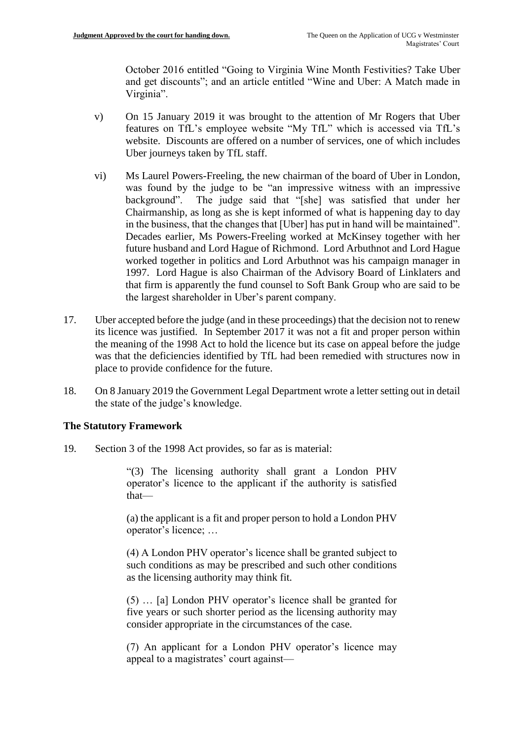October 2016 entitled "Going to Virginia Wine Month Festivities? Take Uber and get discounts"; and an article entitled "Wine and Uber: A Match made in Virginia".

- v) On 15 January 2019 it was brought to the attention of Mr Rogers that Uber features on TfL's employee website "My TfL" which is accessed via TfL's website. Discounts are offered on a number of services, one of which includes Uber journeys taken by TfL staff.
- vi) Ms Laurel Powers-Freeling, the new chairman of the board of Uber in London, was found by the judge to be "an impressive witness with an impressive background". The judge said that "[she] was satisfied that under her Chairmanship, as long as she is kept informed of what is happening day to day in the business, that the changes that [Uber] has put in hand will be maintained". Decades earlier, Ms Powers-Freeling worked at McKinsey together with her future husband and Lord Hague of Richmond. Lord Arbuthnot and Lord Hague worked together in politics and Lord Arbuthnot was his campaign manager in 1997. Lord Hague is also Chairman of the Advisory Board of Linklaters and that firm is apparently the fund counsel to Soft Bank Group who are said to be the largest shareholder in Uber's parent company.
- 17. Uber accepted before the judge (and in these proceedings) that the decision not to renew its licence was justified. In September 2017 it was not a fit and proper person within the meaning of the 1998 Act to hold the licence but its case on appeal before the judge was that the deficiencies identified by TfL had been remedied with structures now in place to provide confidence for the future.
- 18. On 8 January 2019 the Government Legal Department wrote a letter setting out in detail the state of the judge's knowledge.

## **The Statutory Framework**

19. Section 3 of the 1998 Act provides, so far as is material:

"(3) The licensing authority shall grant a London PHV operator's licence to the applicant if the authority is satisfied that—

(a) the applicant is a fit and proper person to hold a London PHV operator's licence; …

(4) A London PHV operator's licence shall be granted subject to such conditions as may be prescribed and such other conditions as the licensing authority may think fit.

(5) … [a] London PHV operator's licence shall be granted for five years or such shorter period as the licensing authority may consider appropriate in the circumstances of the case.

(7) An applicant for a London PHV operator's licence may appeal to a magistrates' court against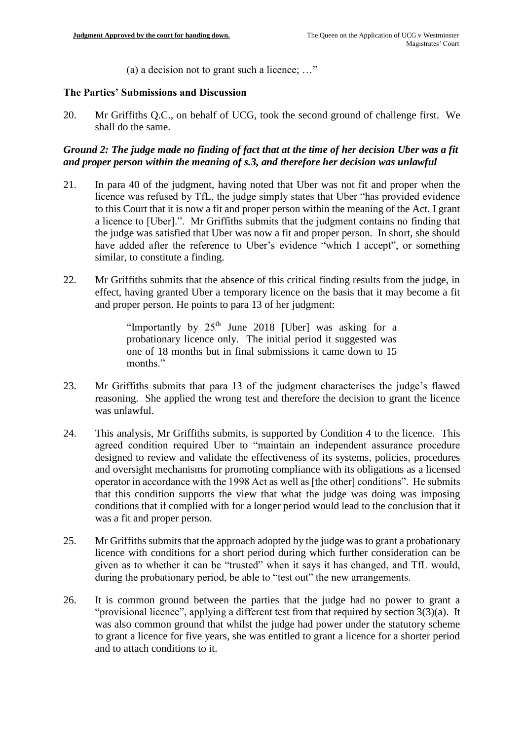(a) a decision not to grant such a licence; …"

#### **The Parties' Submissions and Discussion**

20. Mr Griffiths Q.C., on behalf of UCG, took the second ground of challenge first. We shall do the same.

#### *Ground 2: The judge made no finding of fact that at the time of her decision Uber was a fit and proper person within the meaning of s.3, and therefore her decision was unlawful*

- 21. In para 40 of the judgment, having noted that Uber was not fit and proper when the licence was refused by TfL, the judge simply states that Uber "has provided evidence to this Court that it is now a fit and proper person within the meaning of the Act. I grant a licence to [Uber].". Mr Griffiths submits that the judgment contains no finding that the judge was satisfied that Uber was now a fit and proper person. In short, she should have added after the reference to Uber's evidence "which I accept", or something similar, to constitute a finding.
- 22. Mr Griffiths submits that the absence of this critical finding results from the judge, in effect, having granted Uber a temporary licence on the basis that it may become a fit and proper person. He points to para 13 of her judgment:

"Importantly by 25<sup>th</sup> June 2018 [Uber] was asking for a probationary licence only. The initial period it suggested was one of 18 months but in final submissions it came down to 15 months."

- 23. Mr Griffiths submits that para 13 of the judgment characterises the judge's flawed reasoning. She applied the wrong test and therefore the decision to grant the licence was unlawful.
- 24. This analysis, Mr Griffiths submits, is supported by Condition 4 to the licence. This agreed condition required Uber to "maintain an independent assurance procedure designed to review and validate the effectiveness of its systems, policies, procedures and oversight mechanisms for promoting compliance with its obligations as a licensed operator in accordance with the 1998 Act as well as [the other] conditions". He submits that this condition supports the view that what the judge was doing was imposing conditions that if complied with for a longer period would lead to the conclusion that it was a fit and proper person.
- 25. Mr Griffiths submits that the approach adopted by the judge was to grant a probationary licence with conditions for a short period during which further consideration can be given as to whether it can be "trusted" when it says it has changed, and TfL would, during the probationary period, be able to "test out" the new arrangements.
- 26. It is common ground between the parties that the judge had no power to grant a "provisional licence", applying a different test from that required by section 3(3)(a). It was also common ground that whilst the judge had power under the statutory scheme to grant a licence for five years, she was entitled to grant a licence for a shorter period and to attach conditions to it.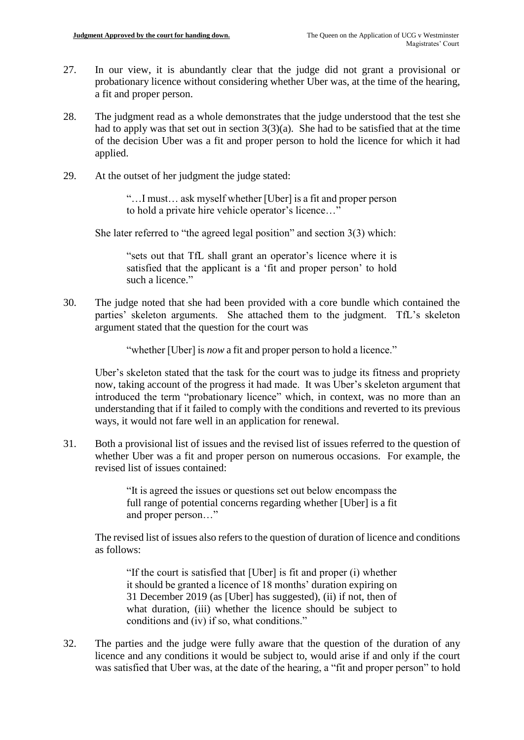- 27. In our view, it is abundantly clear that the judge did not grant a provisional or probationary licence without considering whether Uber was, at the time of the hearing, a fit and proper person.
- 28. The judgment read as a whole demonstrates that the judge understood that the test she had to apply was that set out in section  $3(3)(a)$ . She had to be satisfied that at the time of the decision Uber was a fit and proper person to hold the licence for which it had applied.
- 29. At the outset of her judgment the judge stated:

"…I must… ask myself whether [Uber] is a fit and proper person to hold a private hire vehicle operator's licence…"

She later referred to "the agreed legal position" and section 3(3) which:

"sets out that TfL shall grant an operator's licence where it is satisfied that the applicant is a 'fit and proper person' to hold such a licence."

30. The judge noted that she had been provided with a core bundle which contained the parties' skeleton arguments. She attached them to the judgment. TfL's skeleton argument stated that the question for the court was

"whether [Uber] is *now* a fit and proper person to hold a licence."

Uber's skeleton stated that the task for the court was to judge its fitness and propriety now, taking account of the progress it had made. It was Uber's skeleton argument that introduced the term "probationary licence" which, in context, was no more than an understanding that if it failed to comply with the conditions and reverted to its previous ways, it would not fare well in an application for renewal.

31. Both a provisional list of issues and the revised list of issues referred to the question of whether Uber was a fit and proper person on numerous occasions. For example, the revised list of issues contained:

> "It is agreed the issues or questions set out below encompass the full range of potential concerns regarding whether [Uber] is a fit and proper person…"

The revised list of issues also refers to the question of duration of licence and conditions as follows:

"If the court is satisfied that [Uber] is fit and proper (i) whether it should be granted a licence of 18 months' duration expiring on 31 December 2019 (as [Uber] has suggested), (ii) if not, then of what duration, (iii) whether the licence should be subject to conditions and (iv) if so, what conditions."

32. The parties and the judge were fully aware that the question of the duration of any licence and any conditions it would be subject to, would arise if and only if the court was satisfied that Uber was, at the date of the hearing, a "fit and proper person" to hold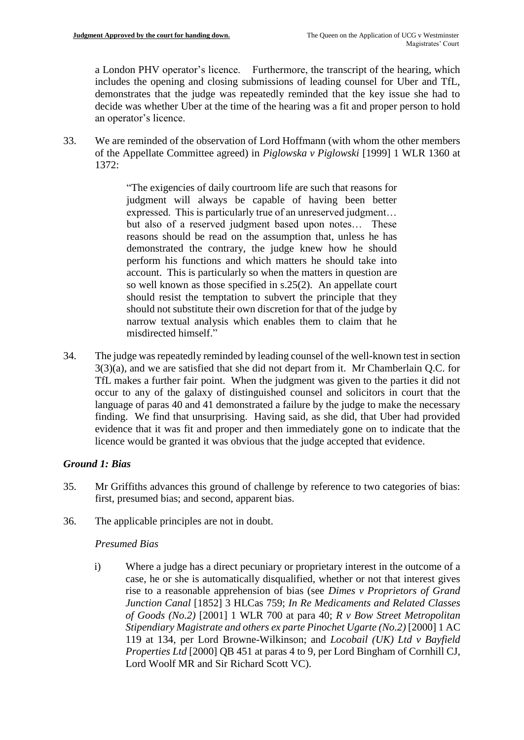a London PHV operator's licence. Furthermore, the transcript of the hearing, which includes the opening and closing submissions of leading counsel for Uber and TfL, demonstrates that the judge was repeatedly reminded that the key issue she had to decide was whether Uber at the time of the hearing was a fit and proper person to hold an operator's licence.

33. We are reminded of the observation of Lord Hoffmann (with whom the other members of the Appellate Committee agreed) in *Piglowska v Piglowski* [1999] 1 WLR 1360 at 1372:

> "The exigencies of daily courtroom life are such that reasons for judgment will always be capable of having been better expressed. This is particularly true of an unreserved judgment… but also of a reserved judgment based upon notes… These reasons should be read on the assumption that, unless he has demonstrated the contrary, the judge knew how he should perform his functions and which matters he should take into account. This is particularly so when the matters in question are so well known as those specified in s.25(2). An appellate court should resist the temptation to subvert the principle that they should not substitute their own discretion for that of the judge by narrow textual analysis which enables them to claim that he misdirected himself."

34. The judge was repeatedly reminded by leading counsel of the well-known test in section 3(3)(a), and we are satisfied that she did not depart from it. Mr Chamberlain Q.C. for TfL makes a further fair point. When the judgment was given to the parties it did not occur to any of the galaxy of distinguished counsel and solicitors in court that the language of paras 40 and 41 demonstrated a failure by the judge to make the necessary finding. We find that unsurprising. Having said, as she did, that Uber had provided evidence that it was fit and proper and then immediately gone on to indicate that the licence would be granted it was obvious that the judge accepted that evidence.

## *Ground 1: Bias*

- 35. Mr Griffiths advances this ground of challenge by reference to two categories of bias: first, presumed bias; and second, apparent bias.
- 36. The applicable principles are not in doubt.

#### *Presumed Bias*

i) Where a judge has a direct pecuniary or proprietary interest in the outcome of a case, he or she is automatically disqualified, whether or not that interest gives rise to a reasonable apprehension of bias (see *Dimes v Proprietors of Grand Junction Canal* [1852] 3 HLCas 759; *In Re Medicaments and Related Classes of Goods (No.2)* [2001] 1 WLR 700 at para 40; *R v Bow Street Metropolitan Stipendiary Magistrate and others ex parte Pinochet Ugarte (No.2)* [2000] 1 AC 119 at 134, per Lord Browne-Wilkinson; and *Locobail (UK) Ltd v Bayfield Properties Ltd* [2000] QB 451 at paras 4 to 9, per Lord Bingham of Cornhill CJ, Lord Woolf MR and Sir Richard Scott VC).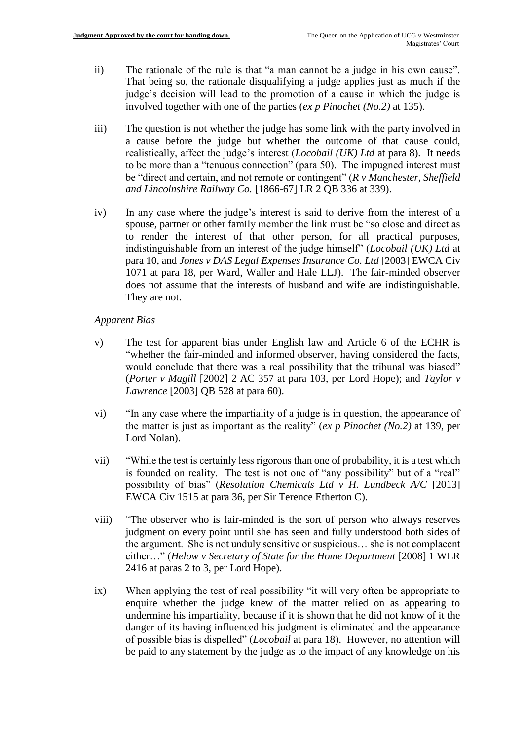- ii) The rationale of the rule is that "a man cannot be a judge in his own cause". That being so, the rationale disqualifying a judge applies just as much if the judge's decision will lead to the promotion of a cause in which the judge is involved together with one of the parties (*ex p Pinochet (No.2)* at 135).
- iii) The question is not whether the judge has some link with the party involved in a cause before the judge but whether the outcome of that cause could, realistically, affect the judge's interest (*Locobail (UK) Ltd* at para 8). It needs to be more than a "tenuous connection" (para 50). The impugned interest must be "direct and certain, and not remote or contingent" (*R v Manchester, Sheffield and Lincolnshire Railway Co.* [1866-67] LR 2 QB 336 at 339).
- iv) In any case where the judge's interest is said to derive from the interest of a spouse, partner or other family member the link must be "so close and direct as to render the interest of that other person, for all practical purposes, indistinguishable from an interest of the judge himself" (*Locobail (UK) Ltd* at para 10, and *Jones v DAS Legal Expenses Insurance Co. Ltd* [2003] EWCA Civ 1071 at para 18, per Ward, Waller and Hale LLJ). The fair-minded observer does not assume that the interests of husband and wife are indistinguishable. They are not.

#### *Apparent Bias*

- v) The test for apparent bias under English law and Article 6 of the ECHR is "whether the fair-minded and informed observer, having considered the facts, would conclude that there was a real possibility that the tribunal was biased" (*Porter v Magill* [2002] 2 AC 357 at para 103, per Lord Hope); and *Taylor v Lawrence* [2003] QB 528 at para 60).
- vi) "In any case where the impartiality of a judge is in question, the appearance of the matter is just as important as the reality" (*ex p Pinochet (No.2)* at 139, per Lord Nolan).
- vii) "While the test is certainly less rigorous than one of probability, it is a test which is founded on reality. The test is not one of "any possibility" but of a "real" possibility of bias" (*Resolution Chemicals Ltd v H. Lundbeck A/C* [2013] EWCA Civ 1515 at para 36, per Sir Terence Etherton C).
- viii) "The observer who is fair-minded is the sort of person who always reserves judgment on every point until she has seen and fully understood both sides of the argument. She is not unduly sensitive or suspicious… she is not complacent either…" (*Helow v Secretary of State for the Home Department* [2008] 1 WLR 2416 at paras 2 to 3, per Lord Hope).
- ix) When applying the test of real possibility "it will very often be appropriate to enquire whether the judge knew of the matter relied on as appearing to undermine his impartiality, because if it is shown that he did not know of it the danger of its having influenced his judgment is eliminated and the appearance of possible bias is dispelled" (*Locobail* at para 18). However, no attention will be paid to any statement by the judge as to the impact of any knowledge on his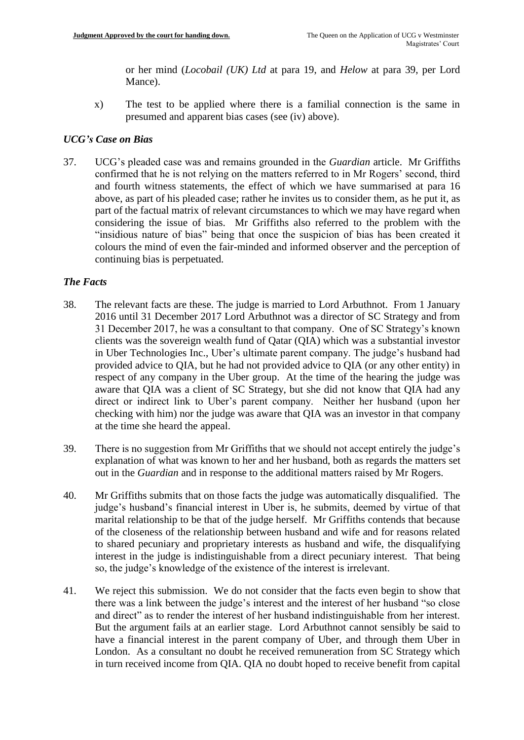or her mind (*Locobail (UK) Ltd* at para 19, and *Helow* at para 39, per Lord Mance).

x) The test to be applied where there is a familial connection is the same in presumed and apparent bias cases (see (iv) above).

## *UCG's Case on Bias*

37. UCG's pleaded case was and remains grounded in the *Guardian* article. Mr Griffiths confirmed that he is not relying on the matters referred to in Mr Rogers' second, third and fourth witness statements, the effect of which we have summarised at para 16 above, as part of his pleaded case; rather he invites us to consider them, as he put it, as part of the factual matrix of relevant circumstances to which we may have regard when considering the issue of bias. Mr Griffiths also referred to the problem with the "insidious nature of bias" being that once the suspicion of bias has been created it colours the mind of even the fair-minded and informed observer and the perception of continuing bias is perpetuated.

### *The Facts*

- 38. The relevant facts are these. The judge is married to Lord Arbuthnot. From 1 January 2016 until 31 December 2017 Lord Arbuthnot was a director of SC Strategy and from 31 December 2017, he was a consultant to that company. One of SC Strategy's known clients was the sovereign wealth fund of Qatar (QIA) which was a substantial investor in Uber Technologies Inc., Uber's ultimate parent company. The judge's husband had provided advice to QIA, but he had not provided advice to QIA (or any other entity) in respect of any company in the Uber group. At the time of the hearing the judge was aware that QIA was a client of SC Strategy, but she did not know that QIA had any direct or indirect link to Uber's parent company. Neither her husband (upon her checking with him) nor the judge was aware that QIA was an investor in that company at the time she heard the appeal.
- 39. There is no suggestion from Mr Griffiths that we should not accept entirely the judge's explanation of what was known to her and her husband, both as regards the matters set out in the *Guardian* and in response to the additional matters raised by Mr Rogers.
- 40. Mr Griffiths submits that on those facts the judge was automatically disqualified. The judge's husband's financial interest in Uber is, he submits, deemed by virtue of that marital relationship to be that of the judge herself. Mr Griffiths contends that because of the closeness of the relationship between husband and wife and for reasons related to shared pecuniary and proprietary interests as husband and wife, the disqualifying interest in the judge is indistinguishable from a direct pecuniary interest. That being so, the judge's knowledge of the existence of the interest is irrelevant.
- 41. We reject this submission. We do not consider that the facts even begin to show that there was a link between the judge's interest and the interest of her husband "so close and direct" as to render the interest of her husband indistinguishable from her interest. But the argument fails at an earlier stage. Lord Arbuthnot cannot sensibly be said to have a financial interest in the parent company of Uber, and through them Uber in London. As a consultant no doubt he received remuneration from SC Strategy which in turn received income from QIA. QIA no doubt hoped to receive benefit from capital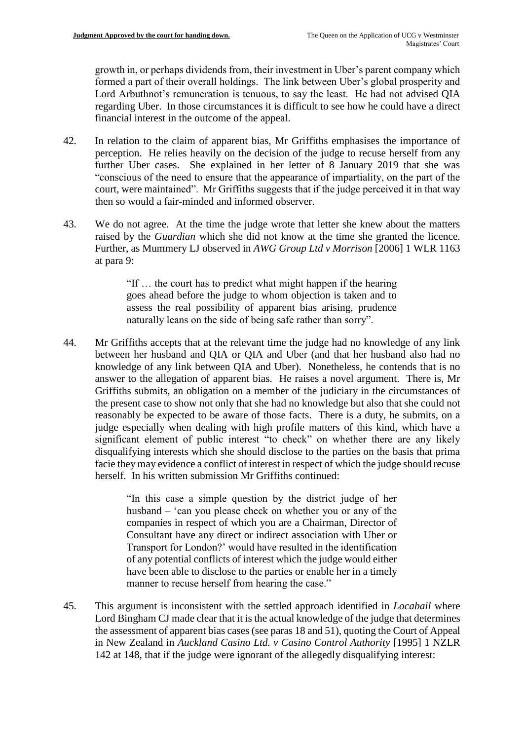growth in, or perhaps dividends from, their investment in Uber's parent company which formed a part of their overall holdings. The link between Uber's global prosperity and Lord Arbuthnot's remuneration is tenuous, to say the least. He had not advised QIA regarding Uber. In those circumstances it is difficult to see how he could have a direct financial interest in the outcome of the appeal.

- 42. In relation to the claim of apparent bias, Mr Griffiths emphasises the importance of perception. He relies heavily on the decision of the judge to recuse herself from any further Uber cases. She explained in her letter of 8 January 2019 that she was "conscious of the need to ensure that the appearance of impartiality, on the part of the court, were maintained". Mr Griffiths suggests that if the judge perceived it in that way then so would a fair-minded and informed observer.
- 43. We do not agree. At the time the judge wrote that letter she knew about the matters raised by the *Guardian* which she did not know at the time she granted the licence. Further, as Mummery LJ observed in *AWG Group Ltd v Morrison* [2006] 1 WLR 1163 at para 9:

"If … the court has to predict what might happen if the hearing goes ahead before the judge to whom objection is taken and to assess the real possibility of apparent bias arising, prudence naturally leans on the side of being safe rather than sorry".

44. Mr Griffiths accepts that at the relevant time the judge had no knowledge of any link between her husband and QIA or QIA and Uber (and that her husband also had no knowledge of any link between QIA and Uber). Nonetheless, he contends that is no answer to the allegation of apparent bias. He raises a novel argument. There is, Mr Griffiths submits, an obligation on a member of the judiciary in the circumstances of the present case to show not only that she had no knowledge but also that she could not reasonably be expected to be aware of those facts. There is a duty, he submits, on a judge especially when dealing with high profile matters of this kind, which have a significant element of public interest "to check" on whether there are any likely disqualifying interests which she should disclose to the parties on the basis that prima facie they may evidence a conflict of interest in respect of which the judge should recuse herself. In his written submission Mr Griffiths continued:

> "In this case a simple question by the district judge of her husband – 'can you please check on whether you or any of the companies in respect of which you are a Chairman, Director of Consultant have any direct or indirect association with Uber or Transport for London?' would have resulted in the identification of any potential conflicts of interest which the judge would either have been able to disclose to the parties or enable her in a timely manner to recuse herself from hearing the case."

45. This argument is inconsistent with the settled approach identified in *Locabail* where Lord Bingham CJ made clear that it is the actual knowledge of the judge that determines the assessment of apparent bias cases (see paras 18 and 51), quoting the Court of Appeal in New Zealand in *Auckland Casino Ltd. v Casino Control Authority* [1995] 1 NZLR 142 at 148, that if the judge were ignorant of the allegedly disqualifying interest: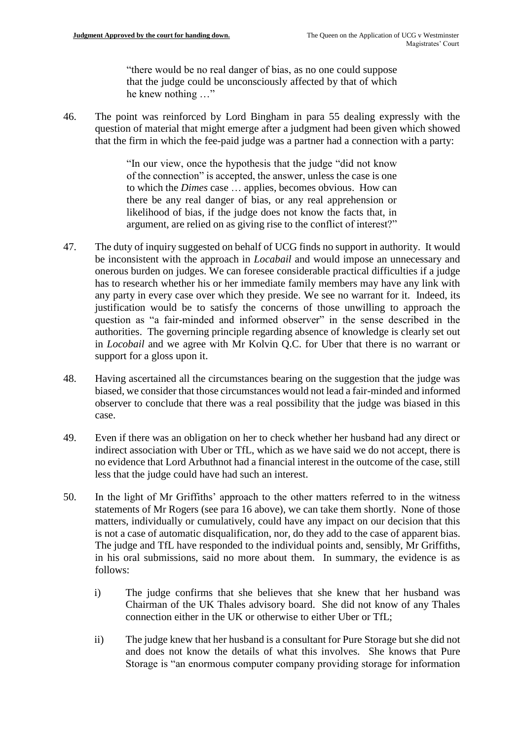"there would be no real danger of bias, as no one could suppose that the judge could be unconsciously affected by that of which he knew nothing …"

46. The point was reinforced by Lord Bingham in para 55 dealing expressly with the question of material that might emerge after a judgment had been given which showed that the firm in which the fee-paid judge was a partner had a connection with a party:

> "In our view, once the hypothesis that the judge "did not know of the connection" is accepted, the answer, unless the case is one to which the *Dimes* case … applies, becomes obvious. How can there be any real danger of bias, or any real apprehension or likelihood of bias, if the judge does not know the facts that, in argument, are relied on as giving rise to the conflict of interest?"

- 47. The duty of inquiry suggested on behalf of UCG finds no support in authority. It would be inconsistent with the approach in *Locabail* and would impose an unnecessary and onerous burden on judges. We can foresee considerable practical difficulties if a judge has to research whether his or her immediate family members may have any link with any party in every case over which they preside. We see no warrant for it. Indeed, its justification would be to satisfy the concerns of those unwilling to approach the question as "a fair-minded and informed observer" in the sense described in the authorities. The governing principle regarding absence of knowledge is clearly set out in *Locobail* and we agree with Mr Kolvin Q.C. for Uber that there is no warrant or support for a gloss upon it.
- 48. Having ascertained all the circumstances bearing on the suggestion that the judge was biased, we consider that those circumstances would not lead a fair-minded and informed observer to conclude that there was a real possibility that the judge was biased in this case.
- 49. Even if there was an obligation on her to check whether her husband had any direct or indirect association with Uber or TfL, which as we have said we do not accept, there is no evidence that Lord Arbuthnot had a financial interest in the outcome of the case, still less that the judge could have had such an interest.
- 50. In the light of Mr Griffiths' approach to the other matters referred to in the witness statements of Mr Rogers (see para 16 above), we can take them shortly. None of those matters, individually or cumulatively, could have any impact on our decision that this is not a case of automatic disqualification, nor, do they add to the case of apparent bias. The judge and TfL have responded to the individual points and, sensibly, Mr Griffiths, in his oral submissions, said no more about them. In summary, the evidence is as follows:
	- i) The judge confirms that she believes that she knew that her husband was Chairman of the UK Thales advisory board. She did not know of any Thales connection either in the UK or otherwise to either Uber or TfL;
	- ii) The judge knew that her husband is a consultant for Pure Storage but she did not and does not know the details of what this involves. She knows that Pure Storage is "an enormous computer company providing storage for information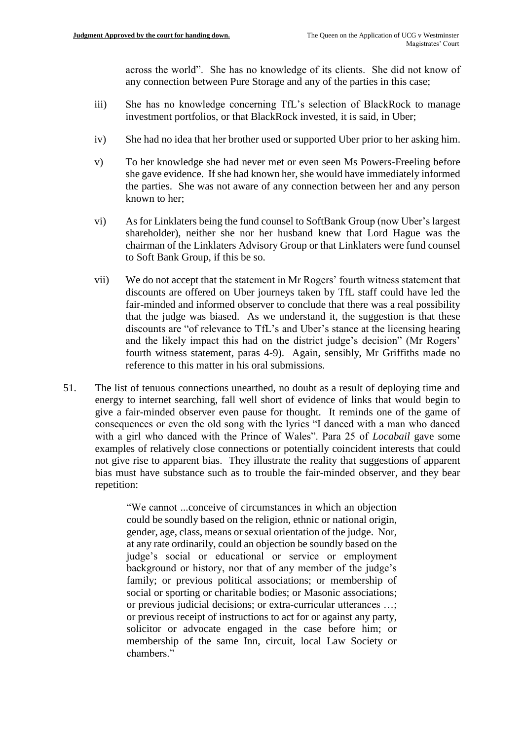across the world". She has no knowledge of its clients. She did not know of any connection between Pure Storage and any of the parties in this case;

- iii) She has no knowledge concerning TfL's selection of BlackRock to manage investment portfolios, or that BlackRock invested, it is said, in Uber;
- iv) She had no idea that her brother used or supported Uber prior to her asking him.
- v) To her knowledge she had never met or even seen Ms Powers-Freeling before she gave evidence. If she had known her, she would have immediately informed the parties. She was not aware of any connection between her and any person known to her;
- vi) As for Linklaters being the fund counsel to SoftBank Group (now Uber's largest shareholder), neither she nor her husband knew that Lord Hague was the chairman of the Linklaters Advisory Group or that Linklaters were fund counsel to Soft Bank Group, if this be so.
- vii) We do not accept that the statement in Mr Rogers' fourth witness statement that discounts are offered on Uber journeys taken by TfL staff could have led the fair-minded and informed observer to conclude that there was a real possibility that the judge was biased. As we understand it, the suggestion is that these discounts are "of relevance to TfL's and Uber's stance at the licensing hearing and the likely impact this had on the district judge's decision" (Mr Rogers' fourth witness statement, paras 4-9). Again, sensibly, Mr Griffiths made no reference to this matter in his oral submissions.
- 51. The list of tenuous connections unearthed, no doubt as a result of deploying time and energy to internet searching, fall well short of evidence of links that would begin to give a fair-minded observer even pause for thought. It reminds one of the game of consequences or even the old song with the lyrics "I danced with a man who danced with a girl who danced with the Prince of Wales". Para 25 of *Locabail* gave some examples of relatively close connections or potentially coincident interests that could not give rise to apparent bias. They illustrate the reality that suggestions of apparent bias must have substance such as to trouble the fair-minded observer, and they bear repetition:

"We cannot ...conceive of circumstances in which an objection could be soundly based on the religion, ethnic or national origin, gender, age, class, means or sexual orientation of the judge. Nor, at any rate ordinarily, could an objection be soundly based on the judge's social or educational or service or employment background or history, nor that of any member of the judge's family; or previous political associations; or membership of social or sporting or charitable bodies; or Masonic associations; or previous judicial decisions; or extra-curricular utterances …; or previous receipt of instructions to act for or against any party, solicitor or advocate engaged in the case before him; or membership of the same Inn, circuit, local Law Society or chambers."